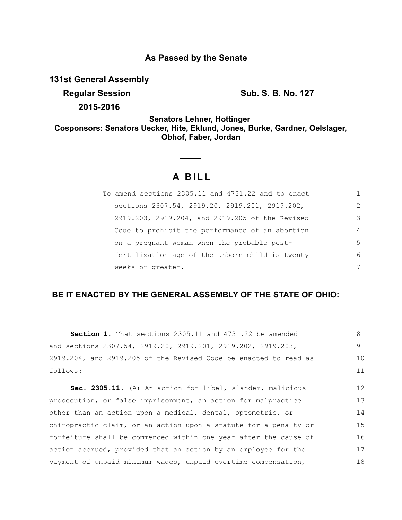## **As Passed by the Senate**

**131st General Assembly**

**Regular Session Sub. S. B. No. 127** 

17 18

**2015-2016**

**Senators Lehner, Hottinger Cosponsors: Senators Uecker, Hite, Eklund, Jones, Burke, Gardner, Oelslager, Obhof, Faber, Jordan**

# **A BILL**

| To amend sections 2305.11 and 4731.22 and to enact |                |
|----------------------------------------------------|----------------|
| sections 2307.54, 2919.20, 2919.201, 2919.202,     | $\mathcal{L}$  |
| 2919.203, 2919.204, and 2919.205 of the Revised    | 3              |
| Code to prohibit the performance of an abortion    | $\overline{4}$ |
| on a pregnant woman when the probable post-        | 5              |
| fertilization age of the unborn child is twenty    | 6              |
| weeks or greater.                                  | 7              |

## **BE IT ENACTED BY THE GENERAL ASSEMBLY OF THE STATE OF OHIO:**

| <b>Section 1.</b> That sections 2305.11 and 4731.22 be amended   | 8  |
|------------------------------------------------------------------|----|
| and sections 2307.54, 2919.20, 2919.201, 2919.202, 2919.203,     | 9  |
| 2919.204, and 2919.205 of the Revised Code be enacted to read as | 10 |
| follows:                                                         | 11 |
| Sec. 2305.11. (A) An action for libel, slander, malicious        | 12 |
| prosecution, or false imprisonment, an action for malpractice    | 13 |
| other than an action upon a medical, dental, optometric, or      | 14 |
| chiropractic claim, or an action upon a statute for a penalty or | 15 |
| forfeiture shall be commenced within one year after the cause of | 16 |

action accrued, provided that an action by an employee for the payment of unpaid minimum wages, unpaid overtime compensation,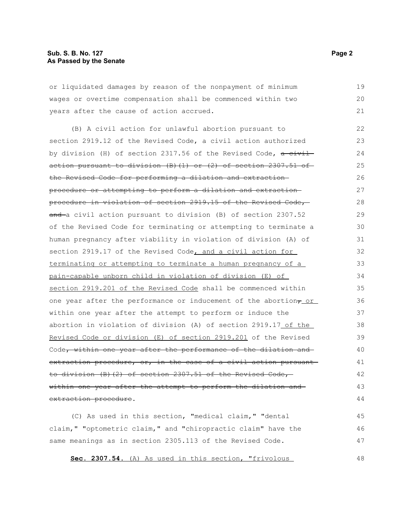or liquidated damages by reason of the nonpayment of minimum wages or overtime compensation shall be commenced within two years after the cause of action accrued. 19 20 21

(B) A civil action for unlawful abortion pursuant to section 2919.12 of the Revised Code, a civil action authorized by division (H) of section 2317.56 of the Revised Code,  $a$  civil action pursuant to division  $(B)$   $(1)$  or  $(2)$  of section 2307.51 of the Revised Code for performing a dilation and extraction procedure or attempting to perform a dilation and extraction procedure in violation of section 2919.15 of the Revised Code, and a civil action pursuant to division (B) of section 2307.52 of the Revised Code for terminating or attempting to terminate a human pregnancy after viability in violation of division (A) of section 2919.17 of the Revised Code, and a civil action for terminating or attempting to terminate a human pregnancy of a pain-capable unborn child in violation of division (E) of section 2919.201 of the Revised Code shall be commenced within one year after the performance or inducement of the abortion $_7$  or within one year after the attempt to perform or induce the abortion in violation of division (A) of section 2919.17 of the Revised Code or division (E) of section 2919.201 of the Revised Code, within one year after the performance of the dilation and extraction procedure, or, in the case of a civil action pursuant to division (B)(2) of section 2307.51 of the Revised Code, within one year after the attempt to perform the dilation and extraction procedure. 22 23 24 25 26 27 28 29 30 31 32 33 34 35 36 37 38 39 40 41 42 43 44

(C) As used in this section, "medical claim," "dental claim," "optometric claim," and "chiropractic claim" have the same meanings as in section 2305.113 of the Revised Code. 45 46 47

**Sec. 2307.54.** (A) As used in this section, "frivolous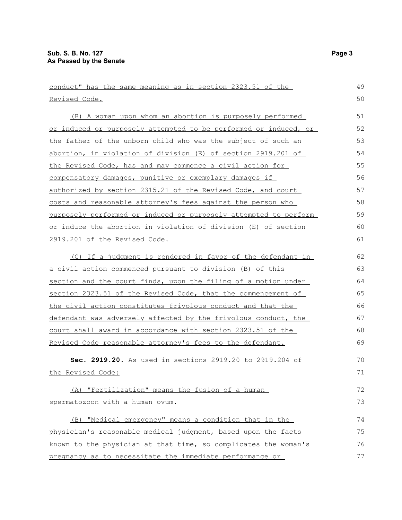| conduct" has the same meaning as in section 2323.51 of the       | 49 |
|------------------------------------------------------------------|----|
| Revised Code.                                                    | 50 |
| (B) A woman upon whom an abortion is purposely performed         | 51 |
| or induced or purposely attempted to be performed or induced, or | 52 |
| the father of the unborn child who was the subject of such an    | 53 |
| abortion, in violation of division (E) of section 2919.201 of    | 54 |
| the Revised Code, has and may commence a civil action for        | 55 |
| compensatory damages, punitive or exemplary damages if           | 56 |
| authorized by section 2315.21 of the Revised Code, and court     | 57 |
| costs and reasonable attorney's fees against the person who      | 58 |
| purposely performed or induced or purposely attempted to perform | 59 |
| or induce the abortion in violation of division (E) of section   | 60 |
| <u>2919.201 of the Revised Code.</u>                             | 61 |
| (C) If a judgment is rendered in favor of the defendant in       | 62 |
| <u>a civil action commenced pursuant to division (B) of this</u> | 63 |
| section and the court finds, upon the filing of a motion under   | 64 |
| section 2323.51 of the Revised Code, that the commencement of    | 65 |
| the civil action constitutes frivolous conduct and that the      | 66 |
| defendant was adversely affected by the frivolous conduct, the   | 67 |
| court shall award in accordance with section 2323.51 of the      | 68 |
| Revised Code reasonable attorney's fees to the defendant.        | 69 |
| Sec. 2919.20. As used in sections 2919.20 to 2919.204 of         | 70 |
| the Revised Code:                                                | 71 |
| (A) "Fertilization" means the fusion of a human                  | 72 |
| spermatozoon with a human ovum.                                  | 73 |
| (B) "Medical emergency" means a condition that in the            | 74 |
| physician's reasonable medical judgment, based upon the facts    | 75 |
| known to the physician at that time, so complicates the woman's  | 76 |
| pregnancy as to necessitate the immediate performance or         | 77 |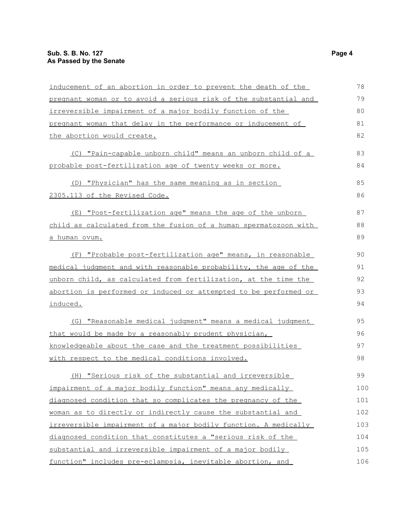| inducement of an abortion in order to prevent the death of the   | 78  |
|------------------------------------------------------------------|-----|
| pregnant woman or to avoid a serious risk of the substantial and | 79  |
| irreversible impairment of a major bodily function of the        | 80  |
| pregnant woman that delay in the performance or inducement of    | 81  |
| the abortion would create.                                       | 82  |
| (C) "Pain-capable unborn child" means an unborn child of a       | 83  |
| probable post-fertilization age of twenty weeks or more.         | 84  |
| (D) "Physician" has the same meaning as in section               | 85  |
| 2305.113 of the Revised Code.                                    | 86  |
| (E) "Post-fertilization age" means the age of the unborn         | 87  |
| child as calculated from the fusion of a human spermatozoon with | 88  |
| <u>a human ovum.</u>                                             | 89  |
| (F) "Probable post-fertilization age" means, in reasonable       | 90  |
| medical judgment and with reasonable probability, the age of the | 91  |
| unborn child, as calculated from fertilization, at the time the  | 92  |
| abortion is performed or induced or attempted to be performed or | 93  |
| induced.                                                         | 94  |
| (G) "Reasonable medical judgment" means a medical judgment       | 95  |
| that would be made by a reasonably prudent physician,            | 96  |
| knowledgeable about the case and the treatment possibilities     | 97  |
| with respect to the medical conditions involved.                 | 98  |
| (H) "Serious risk of the substantial and irreversible            | 99  |
| impairment of a major bodily function" means any medically       | 100 |
| diagnosed condition that so complicates the pregnancy of the     | 101 |
| woman as to directly or indirectly cause the substantial and     | 102 |
| irreversible impairment of a major bodily function. A medically  | 103 |
| diagnosed condition that constitutes a "serious risk of the      | 104 |
| substantial and irreversible impairment of a major bodily        | 105 |
| function" includes pre-eclampsia, inevitable abortion, and       | 106 |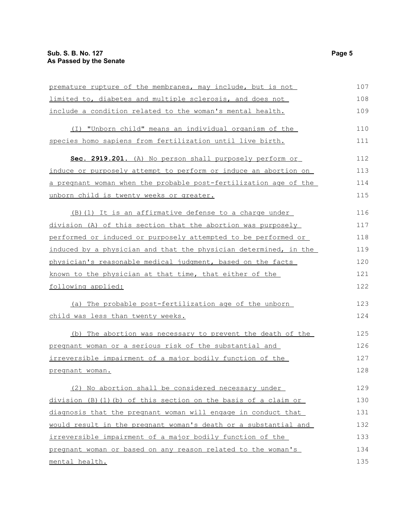| premature rupture of the membranes, may include, but is not      | 107 |
|------------------------------------------------------------------|-----|
| limited to, diabetes and multiple sclerosis, and does not        | 108 |
| include a condition related to the woman's mental health.        | 109 |
| (I) "Unborn child" means an individual organism of the           | 110 |
| species homo sapiens from fertilization until live birth.        | 111 |
| Sec. 2919.201. (A) No person shall purposely perform or          | 112 |
| induce or purposely attempt to perform or induce an abortion on  | 113 |
| a pregnant woman when the probable post-fertilization age of the | 114 |
| unborn child is twenty weeks or greater.                         | 115 |
| (B) (1) It is an affirmative defense to a charge under           | 116 |
| division (A) of this section that the abortion was purposely     | 117 |
| performed or induced or purposely attempted to be performed or   | 118 |
| induced by a physician and that the physician determined, in the | 119 |
| physician's reasonable medical judgment, based on the facts      | 120 |
| known to the physician at that time, that either of the          | 121 |
| following applied:                                               | 122 |
| (a) The probable post-fertilization age of the unborn            | 123 |
| <u>child was less than twenty weeks.</u>                         | 124 |
| (b) The abortion was necessary to prevent the death of the       | 125 |
| pregnant woman or a serious risk of the substantial and          | 126 |
| irreversible impairment of a major bodily function of the        | 127 |
| pregnant woman.                                                  | 128 |
| (2) No abortion shall be considered necessary under              | 129 |
| division (B) (1) (b) of this section on the basis of a claim or  | 130 |
| diagnosis that the pregnant woman will engage in conduct that    | 131 |
| would result in the pregnant woman's death or a substantial and  | 132 |
| irreversible impairment of a major bodily function of the        | 133 |
| pregnant woman or based on any reason related to the woman's     | 134 |
| mental health.                                                   | 135 |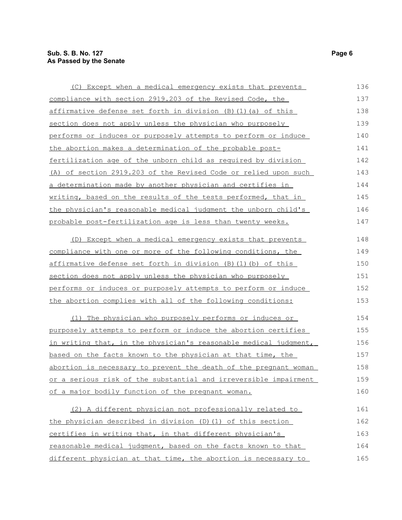| (C) Except when a medical emergency exists that prevents         | 136 |
|------------------------------------------------------------------|-----|
| compliance with section 2919.203 of the Revised Code, the        | 137 |
| affirmative defense set forth in division (B)(1)(a) of this      | 138 |
| section does not apply unless the physician who purposely        | 139 |
| performs or induces or purposely attempts to perform or induce   | 140 |
| the abortion makes a determination of the probable post-         | 141 |
| fertilization age of the unborn child as required by division    | 142 |
| (A) of section 2919.203 of the Revised Code or relied upon such  | 143 |
| a determination made by another physician and certifies in       | 144 |
| writing, based on the results of the tests performed, that in    | 145 |
| the physician's reasonable medical judgment the unborn child's   | 146 |
| probable post-fertilization age is less than twenty weeks.       | 147 |
| (D) Except when a medical emergency exists that prevents         | 148 |
| compliance with one or more of the following conditions, the     | 149 |
| affirmative defense set forth in division (B) (1) (b) of this    | 150 |
| section does not apply unless the physician who purposely        | 151 |
| performs or induces or purposely attempts to perform or induce   | 152 |
| the abortion complies with all of the following conditions:      | 153 |
| (1) The physician who purposely performs or induces or           | 154 |
| purposely attempts to perform or induce the abortion certifies   | 155 |
| in writing that, in the physician's reasonable medical judgment, | 156 |
| based on the facts known to the physician at that time, the      | 157 |
| abortion is necessary to prevent the death of the pregnant woman | 158 |
| or a serious risk of the substantial and irreversible impairment | 159 |
| of a major bodily function of the pregnant woman.                | 160 |
| (2) A different physician not professionally related to          | 161 |
| the physician described in division (D) (1) of this section      | 162 |
| certifies in writing that, in that different physician's         | 163 |
| reasonable medical judgment, based on the facts known to that    | 164 |
| different physician at that time, the abortion is necessary to   | 165 |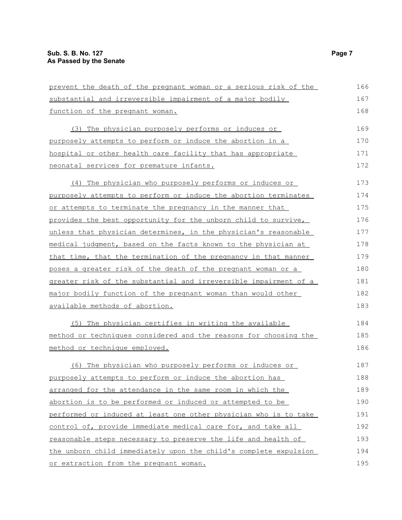| prevent the death of the pregnant woman or a serious risk of the | 166 |
|------------------------------------------------------------------|-----|
| substantial and irreversible impairment of a major bodily        | 167 |
| function of the pregnant woman.                                  | 168 |
| (3) The physician purposely performs or induces or               | 169 |
| purposely attempts to perform or induce the abortion in a        | 170 |
| hospital or other health care facility that has appropriate      | 171 |
| neonatal services for premature infants.                         | 172 |
| (4) The physician who purposely performs or induces or           | 173 |
| purposely attempts to perform or induce the abortion terminates  | 174 |
| or attempts to terminate the pregnancy in the manner that        | 175 |
| provides the best opportunity for the unborn child to survive,   | 176 |
| unless that physician determines, in the physician's reasonable  | 177 |
| medical judgment, based on the facts known to the physician at   | 178 |
| that time, that the termination of the pregnancy in that manner  | 179 |
| poses a greater risk of the death of the pregnant woman or a     | 180 |
| greater risk of the substantial and irreversible impairment of a | 181 |
| major bodily function of the pregnant woman than would other     | 182 |
| available methods of abortion.                                   | 183 |
| (5) The physician certifies in writing the available             | 184 |
| method or techniques considered and the reasons for choosing the | 185 |
| method or technique employed.                                    | 186 |
| (6) The physician who purposely performs or induces or           | 187 |
| purposely attempts to perform or induce the abortion has         | 188 |
| arranged for the attendance in the same room in which the        | 189 |
| abortion is to be performed or induced or attempted to be        | 190 |
| performed or induced at least one other physician who is to take | 191 |
| control of, provide immediate medical care for, and take all     | 192 |
| reasonable steps necessary to preserve the life and health of    | 193 |
| the unborn child immediately upon the child's complete expulsion | 194 |
| or extraction from the pregnant woman.                           | 195 |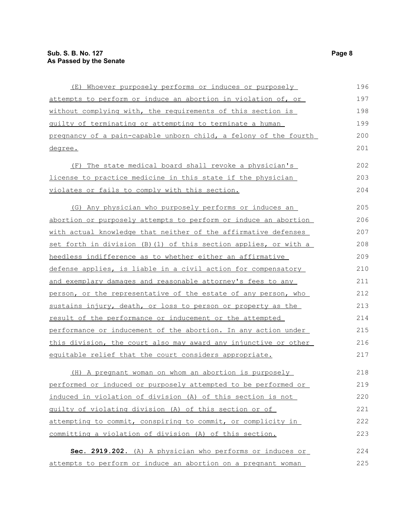| (E) Whoever purposely performs or induces or purposely             | 196 |
|--------------------------------------------------------------------|-----|
| attempts to perform or induce an abortion in violation of, or      | 197 |
| without complying with, the requirements of this section is        | 198 |
| guilty of terminating or attempting to terminate a human           | 199 |
| pregnancy of a pain-capable unborn child, a felony of the fourth   | 200 |
| degree.                                                            | 201 |
| (F) The state medical board shall revoke a physician's             | 202 |
| <u>license to practice medicine in this state if the physician</u> | 203 |
| violates or fails to comply with this section.                     | 204 |
| (G) Any physician who purposely performs or induces an             | 205 |
| abortion or purposely attempts to perform or induce an abortion    | 206 |
| with actual knowledge that neither of the affirmative defenses     | 207 |
| set forth in division (B) (1) of this section applies, or with a   | 208 |
| heedless indifference as to whether either an affirmative          | 209 |
| defense applies, is liable in a civil action for compensatory      | 210 |
| and exemplary damages and reasonable attorney's fees to any        | 211 |
| person, or the representative of the estate of any person, who     | 212 |
| sustains injury, death, or loss to person or property as the       | 213 |
| result of the performance or inducement or the attempted           | 214 |
| performance or inducement of the abortion. In any action under     | 215 |
| this division, the court also may award any injunctive or other    | 216 |
| equitable relief that the court considers appropriate.             | 217 |
| (H) A pregnant woman on whom an abortion is purposely              | 218 |
| performed or induced or purposely attempted to be performed or     | 219 |
| induced in violation of division (A) of this section is not        | 220 |
| guilty of violating division (A) of this section or of             | 221 |
| attempting to commit, conspiring to commit, or complicity in       | 222 |
| committing a violation of division (A) of this section.            | 223 |
| Sec. 2919.202. (A) A physician who performs or induces or          | 224 |
| attempts to perform or induce an abortion on a pregnant woman      | 225 |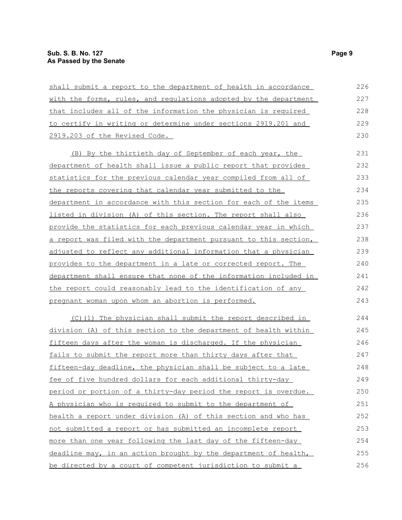| shall submit a report to the department of health in accordance  | 226 |
|------------------------------------------------------------------|-----|
| with the forms, rules, and regulations adopted by the department | 227 |
| that includes all of the information the physician is required   | 228 |
| to certify in writing or determine under sections 2919.201 and   | 229 |
| 2919.203 of the Revised Code.                                    | 230 |
| <u>(B) By the thirtieth day of September of each year, the</u>   | 231 |
| department of health shall issue a public report that provides   | 232 |
| statistics for the previous calendar year compiled from all of   | 233 |
| the reports covering that calendar year submitted to the         | 234 |
| department in accordance with this section for each of the items | 235 |
| listed in division (A) of this section. The report shall also    | 236 |
| provide the statistics for each previous calendar year in which  | 237 |
| a report was filed with the department pursuant to this section, | 238 |
| adjusted to reflect any additional information that a physician  | 239 |
| provides to the department in a late or corrected report. The    | 240 |
| department shall ensure that none of the information included in | 241 |
| the report could reasonably lead to the identification of any    | 242 |
| pregnant woman upon whom an abortion is performed.               | 243 |
| (C)(1) The physician shall submit the report described in        | 244 |
| division (A) of this section to the department of health within  | 245 |
| fifteen days after the woman is discharged. If the physician     | 246 |
| fails to submit the report more than thirty days after that      | 247 |
| fifteen-day deadline, the physician shall be subject to a late   | 248 |
| fee of five hundred dollars for each additional thirty-day       | 249 |
| period or portion of a thirty-day period the report is overdue.  | 250 |
| A physician who is required to submit to the department of       | 251 |
| health a report under division (A) of this section and who has   | 252 |
| not submitted a report or has submitted an incomplete report     | 253 |
| more than one year following the last day of the fifteen-day     | 254 |
| deadline may, in an action brought by the department of health,  | 255 |
| be directed by a court of competent jurisdiction to submit a     | 256 |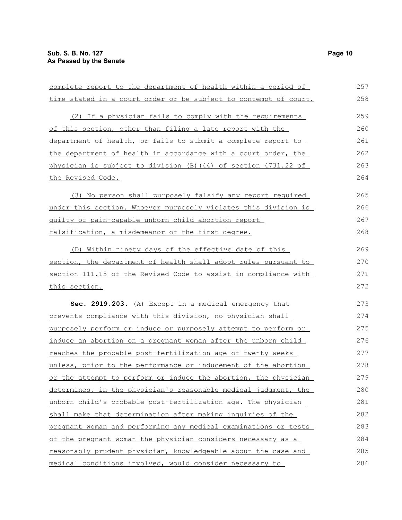| complete report to the department of health within a period of   | 257 |
|------------------------------------------------------------------|-----|
| time stated in a court order or be subject to contempt of court. | 258 |
| (2) If a physician fails to comply with the requirements         | 259 |
| of this section, other than filing a late report with the        | 260 |
|                                                                  |     |
| department of health, or fails to submit a complete report to    | 261 |
| the department of health in accordance with a court order, the   | 262 |
| physician is subject to division (B) (44) of section 4731.22 of  | 263 |
| the Revised Code.                                                | 264 |
| (3) No person shall purposely falsify any report required        | 265 |
| under this section. Whoever purposely violates this division is  | 266 |
| quilty of pain-capable unborn child abortion report              | 267 |
| falsification, a misdemeanor of the first degree.                | 268 |
| (D) Within ninety days of the effective date of this             | 269 |
| section, the department of health shall adopt rules pursuant to  | 270 |
| section 111.15 of the Revised Code to assist in compliance with  | 271 |
| this section.                                                    | 272 |
| Sec. 2919.203. (A) Except in a medical emergency that            | 273 |
| prevents compliance with this division, no physician shall       | 274 |
| purposely perform or induce or purposely attempt to perform or   | 275 |
| induce an abortion on a pregnant woman after the unborn child    | 276 |
| reaches the probable post-fertilization age of twenty weeks      | 277 |
| unless, prior to the performance or inducement of the abortion   | 278 |
| or the attempt to perform or induce the abortion, the physician  | 279 |
| determines, in the physician's reasonable medical judgment, the  | 280 |
| unborn child's probable post-fertilization age. The physician    | 281 |
| shall make that determination after making inquiries of the      | 282 |
| pregnant woman and performing any medical examinations or tests  | 283 |
| of the pregnant woman the physician considers necessary as a     | 284 |
| reasonably prudent physician, knowledgeable about the case and   | 285 |
| medical conditions involved, would consider necessary to         | 286 |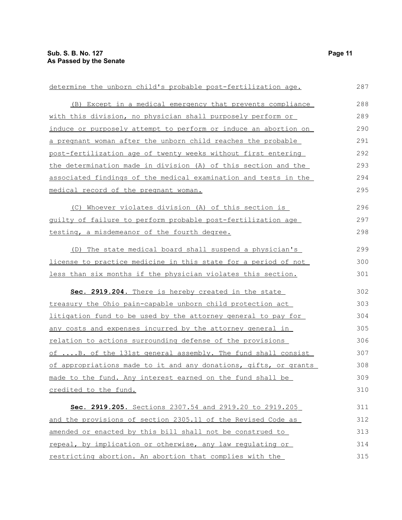| determine the unborn child's probable post-fertilization age.     | 287 |
|-------------------------------------------------------------------|-----|
| (B) Except in a medical emergency that prevents compliance        | 288 |
| with this division, no physician shall purposely perform or       | 289 |
| induce or purposely attempt to perform or induce an abortion on   | 290 |
| a pregnant woman after the unborn child reaches the probable      | 291 |
| post-fertilization age of twenty weeks without first entering     | 292 |
| the determination made in division (A) of this section and the    | 293 |
| associated findings of the medical examination and tests in the   | 294 |
| medical record of the pregnant woman.                             | 295 |
| (C) Whoever violates division (A) of this section is              | 296 |
| guilty of failure to perform probable post-fertilization age      | 297 |
| testing, a misdemeanor of the fourth degree.                      | 298 |
| (D) The state medical board shall suspend a physician's           | 299 |
| license to practice medicine in this state for a period of not    | 300 |
| less than six months if the physician violates this section.      | 301 |
| Sec. 2919.204. There is hereby created in the state               | 302 |
| treasury the Ohio pain-capable unborn child protection act        | 303 |
| litigation fund to be used by the attorney general to pay for     | 304 |
| <u>any costs and expenses incurred by the attorney general in</u> | 305 |
| <u>relation to actions surrounding defense of the provisions</u>  | 306 |
| of  B. of the 131st general assembly. The fund shall consist      | 307 |
| of appropriations made to it and any donations, gifts, or grants  | 308 |
| made to the fund. Any interest earned on the fund shall be        | 309 |
| credited to the fund.                                             | 310 |
| Sec. 2919.205. Sections 2307.54 and 2919.20 to 2919.205           | 311 |
| and the provisions of section 2305.11 of the Revised Code as      | 312 |
| amended or enacted by this bill shall not be construed to         | 313 |
| repeal, by implication or otherwise, any law requlating or        | 314 |
| restricting abortion. An abortion that complies with the          | 315 |
|                                                                   |     |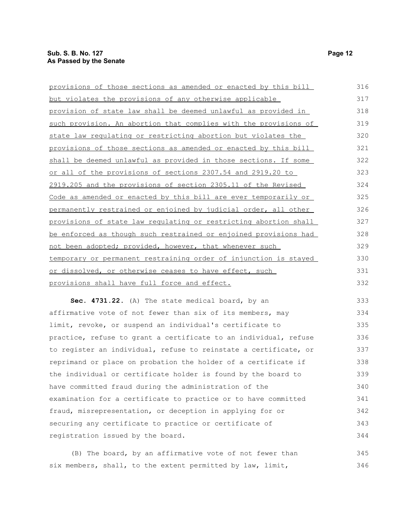|                                                                  | 316 |
|------------------------------------------------------------------|-----|
| provisions of those sections as amended or enacted by this bill  |     |
| but violates the provisions of any otherwise applicable          | 317 |
| provision of state law shall be deemed unlawful as provided in   | 318 |
| such provision. An abortion that complies with the provisions of | 319 |
| state law regulating or restricting abortion but violates the    | 320 |
| provisions of those sections as amended or enacted by this bill  | 321 |
| shall be deemed unlawful as provided in those sections. If some  | 322 |
| or all of the provisions of sections 2307.54 and 2919.20 to      | 323 |
| 2919.205 and the provisions of section 2305.11 of the Revised    | 324 |
| Code as amended or enacted by this bill are ever temporarily or  | 325 |
| permanently restrained or enjoined by judicial order, all other  | 326 |
| provisions of state law regulating or restricting abortion shall | 327 |
| be enforced as though such restrained or enjoined provisions had | 328 |
| not been adopted; provided, however, that whenever such          | 329 |
| temporary or permanent restraining order of injunction is stayed | 330 |
| or dissolved, or otherwise ceases to have effect, such           | 331 |
| provisions shall have full force and effect.                     | 332 |
| Sec. 4731.22. (A) The state medical board, by an                 | 333 |
| affirmative vote of not fewer than six of its members, may       | 334 |
| limit, revoke, or suspend an individual's certificate to         | 335 |
| practice, refuse to grant a certificate to an individual, refuse | 336 |
| to register an individual, refuse to reinstate a certificate, or | 337 |
| reprimand or place on probation the holder of a certificate if   | 338 |
| the individual or certificate holder is found by the board to    | 339 |
| have committed fraud during the administration of the            | 340 |
|                                                                  |     |

examination for a certificate to practice or to have committed fraud, misrepresentation, or deception in applying for or securing any certificate to practice or certificate of registration issued by the board. 341 342 343 344

(B) The board, by an affirmative vote of not fewer than six members, shall, to the extent permitted by law, limit, 345 346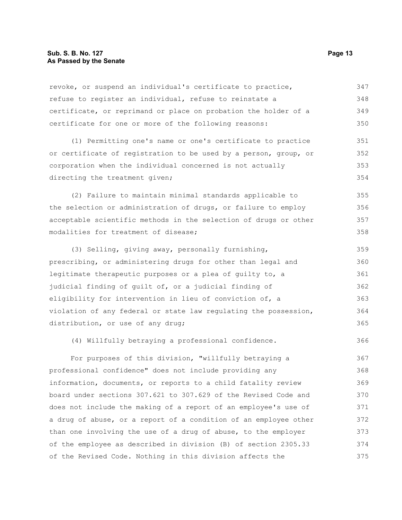#### **Sub. S. B. No. 127 Page 13 As Passed by the Senate**

revoke, or suspend an individual's certificate to practice, refuse to register an individual, refuse to reinstate a certificate, or reprimand or place on probation the holder of a certificate for one or more of the following reasons: 347 348 349 350

(1) Permitting one's name or one's certificate to practice or certificate of registration to be used by a person, group, or corporation when the individual concerned is not actually directing the treatment given; 351 352 353 354

(2) Failure to maintain minimal standards applicable to the selection or administration of drugs, or failure to employ acceptable scientific methods in the selection of drugs or other modalities for treatment of disease; 355 356 357 358

(3) Selling, giving away, personally furnishing, prescribing, or administering drugs for other than legal and legitimate therapeutic purposes or a plea of guilty to, a judicial finding of guilt of, or a judicial finding of eligibility for intervention in lieu of conviction of, a violation of any federal or state law regulating the possession, distribution, or use of any drug; 359 360 361 362 363 364 365

(4) Willfully betraying a professional confidence. 366

For purposes of this division, "willfully betraying a professional confidence" does not include providing any information, documents, or reports to a child fatality review board under sections 307.621 to 307.629 of the Revised Code and does not include the making of a report of an employee's use of a drug of abuse, or a report of a condition of an employee other than one involving the use of a drug of abuse, to the employer of the employee as described in division (B) of section 2305.33 of the Revised Code. Nothing in this division affects the 367 368 369 370 371 372 373 374 375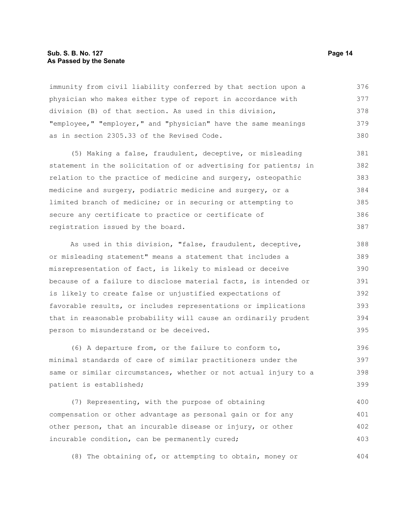#### **Sub. S. B. No. 127 Page 14 As Passed by the Senate**

immunity from civil liability conferred by that section upon a physician who makes either type of report in accordance with division (B) of that section. As used in this division, "employee," "employer," and "physician" have the same meanings as in section 2305.33 of the Revised Code. 376 377 378 379 380

(5) Making a false, fraudulent, deceptive, or misleading statement in the solicitation of or advertising for patients; in relation to the practice of medicine and surgery, osteopathic medicine and surgery, podiatric medicine and surgery, or a limited branch of medicine; or in securing or attempting to secure any certificate to practice or certificate of registration issued by the board. 381 382 383 384 385 386 387

As used in this division, "false, fraudulent, deceptive, or misleading statement" means a statement that includes a misrepresentation of fact, is likely to mislead or deceive because of a failure to disclose material facts, is intended or is likely to create false or unjustified expectations of favorable results, or includes representations or implications that in reasonable probability will cause an ordinarily prudent person to misunderstand or be deceived. 388 389 390 391 392 393 394 395

(6) A departure from, or the failure to conform to, minimal standards of care of similar practitioners under the same or similar circumstances, whether or not actual injury to a patient is established; 396 397 398 399

(7) Representing, with the purpose of obtaining compensation or other advantage as personal gain or for any other person, that an incurable disease or injury, or other incurable condition, can be permanently cured; 400 401 402 403

(8) The obtaining of, or attempting to obtain, money or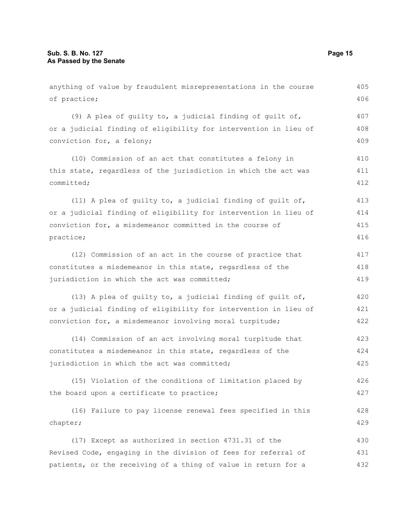anything of value by fraudulent misrepresentations in the course of practice; (9) A plea of guilty to, a judicial finding of guilt of, or a judicial finding of eligibility for intervention in lieu of conviction for, a felony; (10) Commission of an act that constitutes a felony in this state, regardless of the jurisdiction in which the act was committed; (11) A plea of guilty to, a judicial finding of guilt of, or a judicial finding of eligibility for intervention in lieu of conviction for, a misdemeanor committed in the course of practice; (12) Commission of an act in the course of practice that constitutes a misdemeanor in this state, regardless of the jurisdiction in which the act was committed; (13) A plea of guilty to, a judicial finding of guilt of, or a judicial finding of eligibility for intervention in lieu of conviction for, a misdemeanor involving moral turpitude; (14) Commission of an act involving moral turpitude that constitutes a misdemeanor in this state, regardless of the jurisdiction in which the act was committed; (15) Violation of the conditions of limitation placed by the board upon a certificate to practice; (16) Failure to pay license renewal fees specified in this chapter; (17) Except as authorized in section 4731.31 of the Revised Code, engaging in the division of fees for referral of patients, or the receiving of a thing of value in return for a 405 406 407 408 409 410 411 412 413 414 415 416 417 418 419 420 421 422 423 424 425 426 427 428 429 430 431 432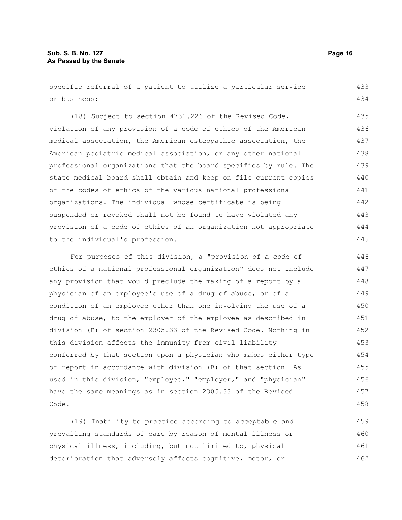#### **Sub. S. B. No. 127 Page 16 As Passed by the Senate**

specific referral of a patient to utilize a particular service or business; 433 434

(18) Subject to section 4731.226 of the Revised Code, violation of any provision of a code of ethics of the American medical association, the American osteopathic association, the American podiatric medical association, or any other national professional organizations that the board specifies by rule. The state medical board shall obtain and keep on file current copies of the codes of ethics of the various national professional organizations. The individual whose certificate is being suspended or revoked shall not be found to have violated any provision of a code of ethics of an organization not appropriate to the individual's profession. 435 436 437 438 439 440 441 442 443 444 445

For purposes of this division, a "provision of a code of ethics of a national professional organization" does not include any provision that would preclude the making of a report by a physician of an employee's use of a drug of abuse, or of a condition of an employee other than one involving the use of a drug of abuse, to the employer of the employee as described in division (B) of section 2305.33 of the Revised Code. Nothing in this division affects the immunity from civil liability conferred by that section upon a physician who makes either type of report in accordance with division (B) of that section. As used in this division, "employee," "employer," and "physician" have the same meanings as in section 2305.33 of the Revised Code. 446 447 448 449 450 451 452 453 454 455 456 457 458

(19) Inability to practice according to acceptable and prevailing standards of care by reason of mental illness or physical illness, including, but not limited to, physical deterioration that adversely affects cognitive, motor, or 459 460 461 462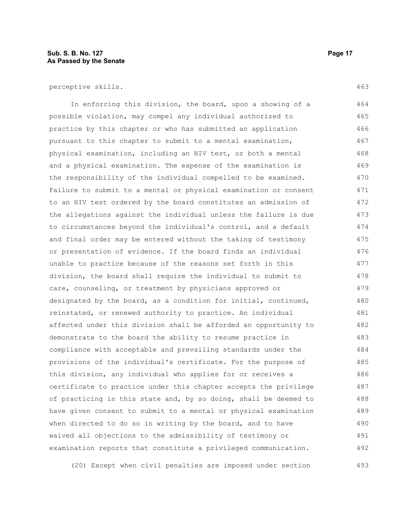#### **Sub. S. B. No. 127 Page 17 As Passed by the Senate**

In enforcing this division, the board, upon a showing of a possible violation, may compel any individual authorized to practice by this chapter or who has submitted an application pursuant to this chapter to submit to a mental examination, physical examination, including an HIV test, or both a mental and a physical examination. The expense of the examination is the responsibility of the individual compelled to be examined. Failure to submit to a mental or physical examination or consent to an HIV test ordered by the board constitutes an admission of the allegations against the individual unless the failure is due to circumstances beyond the individual's control, and a default and final order may be entered without the taking of testimony or presentation of evidence. If the board finds an individual unable to practice because of the reasons set forth in this division, the board shall require the individual to submit to care, counseling, or treatment by physicians approved or designated by the board, as a condition for initial, continued, reinstated, or renewed authority to practice. An individual affected under this division shall be afforded an opportunity to demonstrate to the board the ability to resume practice in compliance with acceptable and prevailing standards under the provisions of the individual's certificate. For the purpose of this division, any individual who applies for or receives a certificate to practice under this chapter accepts the privilege of practicing in this state and, by so doing, shall be deemed to have given consent to submit to a mental or physical examination when directed to do so in writing by the board, and to have waived all objections to the admissibility of testimony or examination reports that constitute a privileged communication. 464 465 466 467 468 469 470 471 472 473 474 475 476 477 478 479 480 481 482 483 484 485 486 487 488 489 490 491 492

(20) Except when civil penalties are imposed under section 493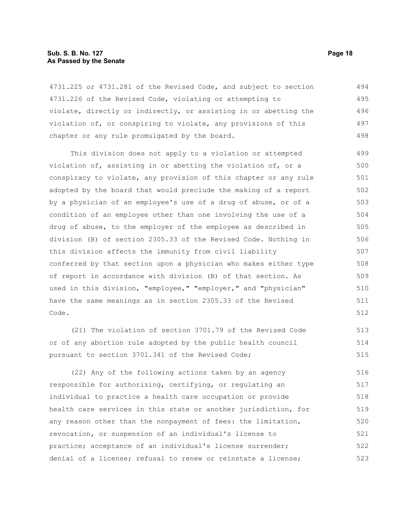#### **Sub. S. B. No. 127 Page 18 As Passed by the Senate**

4731.225 or 4731.281 of the Revised Code, and subject to section 4731.226 of the Revised Code, violating or attempting to violate, directly or indirectly, or assisting in or abetting the violation of, or conspiring to violate, any provisions of this chapter or any rule promulgated by the board. 494 495 496 497 498

This division does not apply to a violation or attempted violation of, assisting in or abetting the violation of, or a conspiracy to violate, any provision of this chapter or any rule adopted by the board that would preclude the making of a report by a physician of an employee's use of a drug of abuse, or of a condition of an employee other than one involving the use of a drug of abuse, to the employer of the employee as described in division (B) of section 2305.33 of the Revised Code. Nothing in this division affects the immunity from civil liability conferred by that section upon a physician who makes either type of report in accordance with division (B) of that section. As used in this division, "employee," "employer," and "physician" have the same meanings as in section 2305.33 of the Revised Code. 499 500 501 502 503 504 505 506 507 508 509 510 511 512

(21) The violation of section 3701.79 of the Revised Code or of any abortion rule adopted by the public health council pursuant to section 3701.341 of the Revised Code; 513 514 515

(22) Any of the following actions taken by an agency responsible for authorizing, certifying, or regulating an individual to practice a health care occupation or provide health care services in this state or another jurisdiction, for any reason other than the nonpayment of fees: the limitation, revocation, or suspension of an individual's license to practice; acceptance of an individual's license surrender; denial of a license; refusal to renew or reinstate a license; 516 517 518 519 520 521 522 523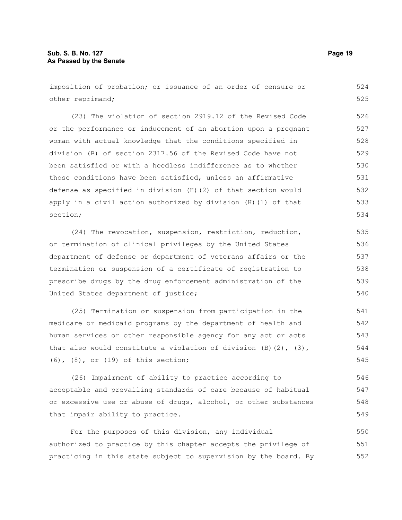imposition of probation; or issuance of an order of censure or other reprimand; (23) The violation of section 2919.12 of the Revised Code or the performance or inducement of an abortion upon a pregnant woman with actual knowledge that the conditions specified in division (B) of section 2317.56 of the Revised Code have not been satisfied or with a heedless indifference as to whether those conditions have been satisfied, unless an affirmative defense as specified in division (H)(2) of that section would apply in a civil action authorized by division (H)(1) of that section; (24) The revocation, suspension, restriction, reduction, or termination of clinical privileges by the United States department of defense or department of veterans affairs or the 524 525 526 527 528 529 530 531 532 533 534 535 536 537

termination or suspension of a certificate of registration to prescribe drugs by the drug enforcement administration of the United States department of justice; 538 539 540

(25) Termination or suspension from participation in the medicare or medicaid programs by the department of health and human services or other responsible agency for any act or acts that also would constitute a violation of division  $(B)$   $(2)$ ,  $(3)$ , (6), (8), or (19) of this section; 541 542 543 544 545

(26) Impairment of ability to practice according to acceptable and prevailing standards of care because of habitual or excessive use or abuse of drugs, alcohol, or other substances that impair ability to practice. 546 547 548 549

For the purposes of this division, any individual authorized to practice by this chapter accepts the privilege of practicing in this state subject to supervision by the board. By 550 551 552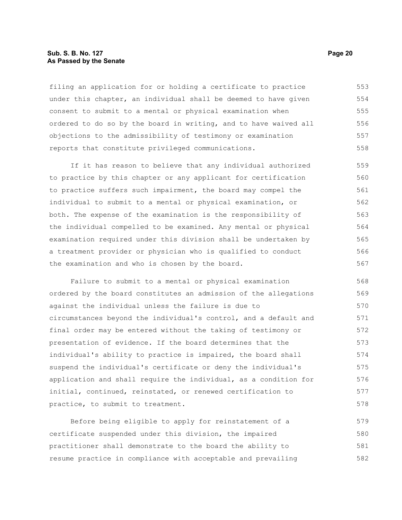#### **Sub. S. B. No. 127 Page 20 As Passed by the Senate**

filing an application for or holding a certificate to practice under this chapter, an individual shall be deemed to have given consent to submit to a mental or physical examination when ordered to do so by the board in writing, and to have waived all objections to the admissibility of testimony or examination reports that constitute privileged communications. 553 554 555 556 557 558

If it has reason to believe that any individual authorized to practice by this chapter or any applicant for certification to practice suffers such impairment, the board may compel the individual to submit to a mental or physical examination, or both. The expense of the examination is the responsibility of the individual compelled to be examined. Any mental or physical examination required under this division shall be undertaken by a treatment provider or physician who is qualified to conduct the examination and who is chosen by the board. 559 560 561 562 563 564 565 566 567

Failure to submit to a mental or physical examination ordered by the board constitutes an admission of the allegations against the individual unless the failure is due to circumstances beyond the individual's control, and a default and final order may be entered without the taking of testimony or presentation of evidence. If the board determines that the individual's ability to practice is impaired, the board shall suspend the individual's certificate or deny the individual's application and shall require the individual, as a condition for initial, continued, reinstated, or renewed certification to practice, to submit to treatment. 568 569 570 571 572 573 574 575 576 577 578

Before being eligible to apply for reinstatement of a certificate suspended under this division, the impaired practitioner shall demonstrate to the board the ability to resume practice in compliance with acceptable and prevailing 579 580 581 582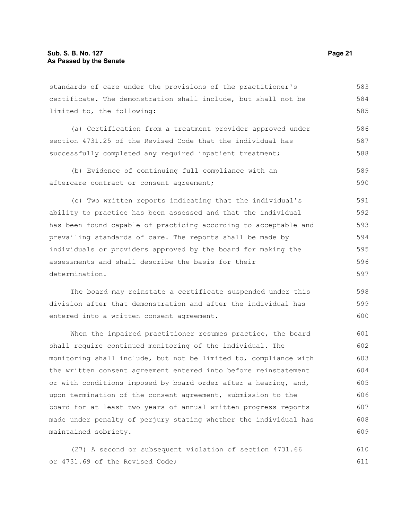standards of care under the provisions of the practitioner's certificate. The demonstration shall include, but shall not be limited to, the following: 583 584 585

(a) Certification from a treatment provider approved under section 4731.25 of the Revised Code that the individual has successfully completed any required inpatient treatment; 586 587 588

(b) Evidence of continuing full compliance with an aftercare contract or consent agreement; 589 590

(c) Two written reports indicating that the individual's ability to practice has been assessed and that the individual has been found capable of practicing according to acceptable and prevailing standards of care. The reports shall be made by individuals or providers approved by the board for making the assessments and shall describe the basis for their determination. 591 592 593 594 595 596 597

The board may reinstate a certificate suspended under this division after that demonstration and after the individual has entered into a written consent agreement. 598 599 600

When the impaired practitioner resumes practice, the board shall require continued monitoring of the individual. The monitoring shall include, but not be limited to, compliance with the written consent agreement entered into before reinstatement or with conditions imposed by board order after a hearing, and, upon termination of the consent agreement, submission to the board for at least two years of annual written progress reports made under penalty of perjury stating whether the individual has maintained sobriety. 601 602 603 604 605 606 607 608 609

(27) A second or subsequent violation of section 4731.66 or 4731.69 of the Revised Code; 610 611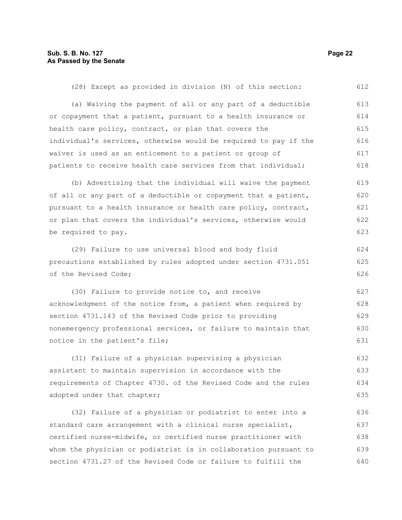(28) Except as provided in division (N) of this section: (a) Waiving the payment of all or any part of a deductible or copayment that a patient, pursuant to a health insurance or health care policy, contract, or plan that covers the individual's services, otherwise would be required to pay if the waiver is used as an enticement to a patient or group of patients to receive health care services from that individual; (b) Advertising that the individual will waive the payment of all or any part of a deductible or copayment that a patient, pursuant to a health insurance or health care policy, contract, or plan that covers the individual's services, otherwise would be required to pay. (29) Failure to use universal blood and body fluid precautions established by rules adopted under section 4731.051 of the Revised Code; (30) Failure to provide notice to, and receive acknowledgment of the notice from, a patient when required by section 4731.143 of the Revised Code prior to providing nonemergency professional services, or failure to maintain that notice in the patient's file; (31) Failure of a physician supervising a physician 612 613 614 615 616 617 618 619 620 621 622 623 624 625 626 627 628 629 630 631 632

assistant to maintain supervision in accordance with the requirements of Chapter 4730. of the Revised Code and the rules adopted under that chapter; 633 634 635

(32) Failure of a physician or podiatrist to enter into a standard care arrangement with a clinical nurse specialist, certified nurse-midwife, or certified nurse practitioner with whom the physician or podiatrist is in collaboration pursuant to section 4731.27 of the Revised Code or failure to fulfill the 636 637 638 639 640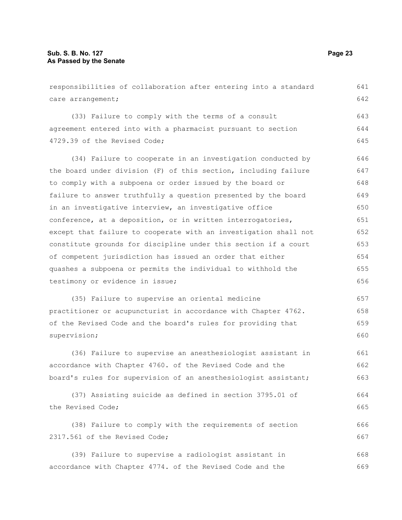| responsibilities of collaboration after entering into a standard | 641 |
|------------------------------------------------------------------|-----|
| care arrangement;                                                | 642 |
| (33) Failure to comply with the terms of a consult               | 643 |
| agreement entered into with a pharmacist pursuant to section     | 644 |
| 4729.39 of the Revised Code;                                     | 645 |
| (34) Failure to cooperate in an investigation conducted by       | 646 |
| the board under division (F) of this section, including failure  | 647 |
| to comply with a subpoena or order issued by the board or        | 648 |
| failure to answer truthfully a question presented by the board   | 649 |
| in an investigative interview, an investigative office           | 650 |
| conference, at a deposition, or in written interrogatories,      | 651 |
| except that failure to cooperate with an investigation shall not | 652 |
| constitute grounds for discipline under this section if a court  | 653 |
| of competent jurisdiction has issued an order that either        | 654 |
| quashes a subpoena or permits the individual to withhold the     | 655 |
| testimony or evidence in issue;                                  | 656 |
| (35) Failure to supervise an oriental medicine                   | 657 |
| practitioner or acupuncturist in accordance with Chapter 4762.   | 658 |
| of the Revised Code and the board's rules for providing that     | 659 |
| supervision;                                                     | 660 |
| (36) Failure to supervise an anesthesiologist assistant in       | 661 |
| accordance with Chapter 4760. of the Revised Code and the        | 662 |
| board's rules for supervision of an anesthesiologist assistant;  | 663 |
| (37) Assisting suicide as defined in section 3795.01 of          | 664 |
| the Revised Code;                                                | 665 |
| (38) Failure to comply with the requirements of section          | 666 |
| 2317.561 of the Revised Code;                                    | 667 |
| (39) Failure to supervise a radiologist assistant in             | 668 |
| accordance with Chapter 4774. of the Revised Code and the        | 669 |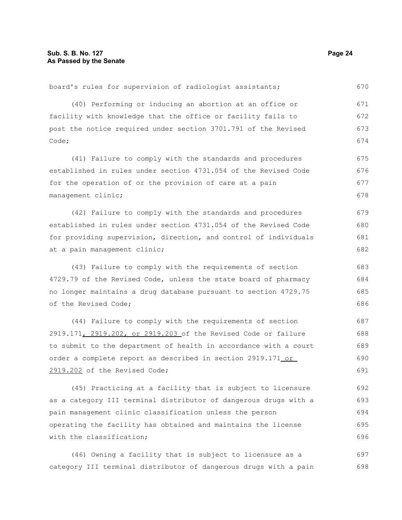with the classification;

board's rules for supervision of radiologist assistants; (40) Performing or inducing an abortion at an office or facility with knowledge that the office or facility fails to post the notice required under section 3701.791 of the Revised Code; (41) Failure to comply with the standards and procedures established in rules under section 4731.054 of the Revised Code for the operation of or the provision of care at a pain management clinic; (42) Failure to comply with the standards and procedures established in rules under section 4731.054 of the Revised Code for providing supervision, direction, and control of individuals at a pain management clinic; (43) Failure to comply with the requirements of section 4729.79 of the Revised Code, unless the state board of pharmacy no longer maintains a drug database pursuant to section 4729.75 of the Revised Code; (44) Failure to comply with the requirements of section 2919.171, 2919.202, or 2919.203 of the Revised Code or failure to submit to the department of health in accordance with a court order a complete report as described in section 2919.171 or 2919.202 of the Revised Code; (45) Practicing at a facility that is subject to licensure as a category III terminal distributor of dangerous drugs with a pain management clinic classification unless the person operating the facility has obtained and maintains the license 670 671 672 673 674 675 676 677 678 679 680 681 682 683 684 685 686 687 688 689 690 691 692 693 694 695

(46) Owning a facility that is subject to licensure as a category III terminal distributor of dangerous drugs with a pain 697 698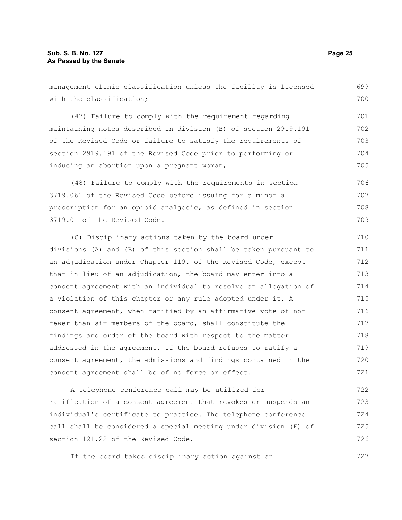with the classification; (47) Failure to comply with the requirement regarding maintaining notes described in division (B) of section 2919.191 of the Revised Code or failure to satisfy the requirements of section 2919.191 of the Revised Code prior to performing or inducing an abortion upon a pregnant woman; (48) Failure to comply with the requirements in section 3719.061 of the Revised Code before issuing for a minor a prescription for an opioid analgesic, as defined in section 3719.01 of the Revised Code. (C) Disciplinary actions taken by the board under divisions (A) and (B) of this section shall be taken pursuant to an adjudication under Chapter 119. of the Revised Code, except that in lieu of an adjudication, the board may enter into a consent agreement with an individual to resolve an allegation of a violation of this chapter or any rule adopted under it. A consent agreement, when ratified by an affirmative vote of not fewer than six members of the board, shall constitute the findings and order of the board with respect to the matter addressed in the agreement. If the board refuses to ratify a consent agreement, the admissions and findings contained in the consent agreement shall be of no force or effect. A telephone conference call may be utilized for 700 701 702 703 704 705 706 707 708 709 710 711 712 713 714 715 716 717 718 719 720 721 722

management clinic classification unless the facility is licensed

ratification of a consent agreement that revokes or suspends an individual's certificate to practice. The telephone conference call shall be considered a special meeting under division (F) of section 121.22 of the Revised Code. 723 724 725 726

If the board takes disciplinary action against an

699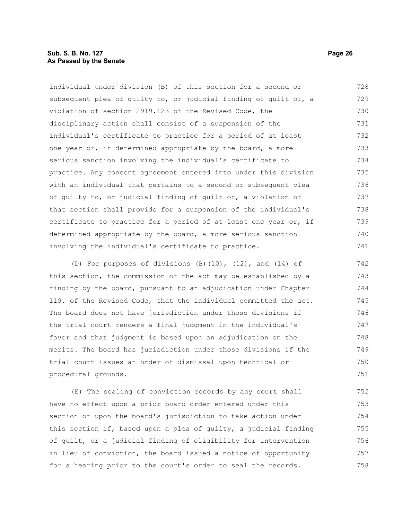individual under division (B) of this section for a second or subsequent plea of guilty to, or judicial finding of guilt of, a violation of section 2919.123 of the Revised Code, the disciplinary action shall consist of a suspension of the individual's certificate to practice for a period of at least one year or, if determined appropriate by the board, a more serious sanction involving the individual's certificate to practice. Any consent agreement entered into under this division with an individual that pertains to a second or subsequent plea of guilty to, or judicial finding of guilt of, a violation of that section shall provide for a suspension of the individual's certificate to practice for a period of at least one year or, if determined appropriate by the board, a more serious sanction involving the individual's certificate to practice. 728 729 730 731 732 733 734 735 736 737 738 739 740 741

(D) For purposes of divisions (B)(10), (12), and (14) of this section, the commission of the act may be established by a finding by the board, pursuant to an adjudication under Chapter 119. of the Revised Code, that the individual committed the act. The board does not have jurisdiction under those divisions if the trial court renders a final judgment in the individual's favor and that judgment is based upon an adjudication on the merits. The board has jurisdiction under those divisions if the trial court issues an order of dismissal upon technical or procedural grounds. 742 743 744 745 746 747 748 749 750 751

(E) The sealing of conviction records by any court shall have no effect upon a prior board order entered under this section or upon the board's jurisdiction to take action under this section if, based upon a plea of guilty, a judicial finding of guilt, or a judicial finding of eligibility for intervention in lieu of conviction, the board issued a notice of opportunity for a hearing prior to the court's order to seal the records. 752 753 754 755 756 757 758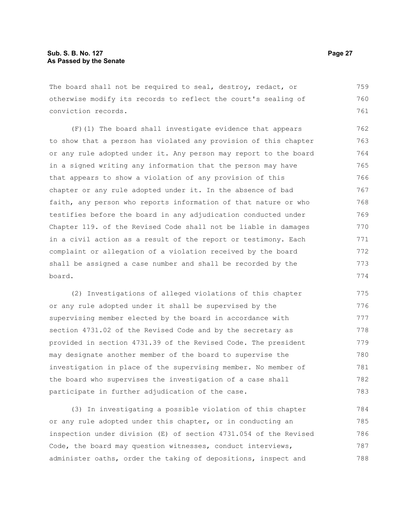The board shall not be required to seal, destroy, redact, or otherwise modify its records to reflect the court's sealing of conviction records. 759 760 761

(F)(1) The board shall investigate evidence that appears to show that a person has violated any provision of this chapter or any rule adopted under it. Any person may report to the board in a signed writing any information that the person may have that appears to show a violation of any provision of this chapter or any rule adopted under it. In the absence of bad faith, any person who reports information of that nature or who testifies before the board in any adjudication conducted under Chapter 119. of the Revised Code shall not be liable in damages in a civil action as a result of the report or testimony. Each complaint or allegation of a violation received by the board shall be assigned a case number and shall be recorded by the board. 762 763 764 765 766 767 768 769 770 771 772 773 774

(2) Investigations of alleged violations of this chapter or any rule adopted under it shall be supervised by the supervising member elected by the board in accordance with section 4731.02 of the Revised Code and by the secretary as provided in section 4731.39 of the Revised Code. The president may designate another member of the board to supervise the investigation in place of the supervising member. No member of the board who supervises the investigation of a case shall participate in further adjudication of the case. 775 776 777 778 779 780 781 782 783

(3) In investigating a possible violation of this chapter or any rule adopted under this chapter, or in conducting an inspection under division (E) of section 4731.054 of the Revised Code, the board may question witnesses, conduct interviews, administer oaths, order the taking of depositions, inspect and 784 785 786 787 788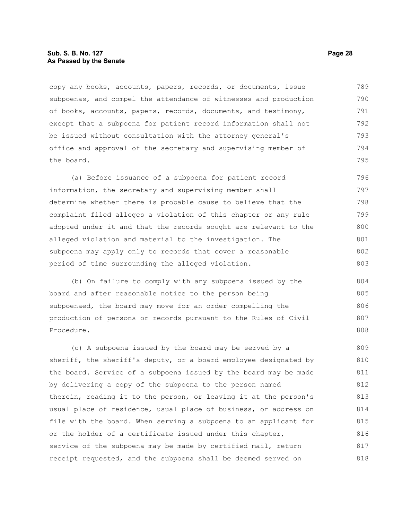#### **Sub. S. B. No. 127 Page 28 As Passed by the Senate**

copy any books, accounts, papers, records, or documents, issue subpoenas, and compel the attendance of witnesses and production of books, accounts, papers, records, documents, and testimony, except that a subpoena for patient record information shall not be issued without consultation with the attorney general's office and approval of the secretary and supervising member of the board. 789 790 791 792 793 794 795

(a) Before issuance of a subpoena for patient record information, the secretary and supervising member shall determine whether there is probable cause to believe that the complaint filed alleges a violation of this chapter or any rule adopted under it and that the records sought are relevant to the alleged violation and material to the investigation. The subpoena may apply only to records that cover a reasonable period of time surrounding the alleged violation. 796 797 798 799 800 801 802 803

(b) On failure to comply with any subpoena issued by the board and after reasonable notice to the person being subpoenaed, the board may move for an order compelling the production of persons or records pursuant to the Rules of Civil Procedure. 804 805 806 807 808

(c) A subpoena issued by the board may be served by a sheriff, the sheriff's deputy, or a board employee designated by the board. Service of a subpoena issued by the board may be made by delivering a copy of the subpoena to the person named therein, reading it to the person, or leaving it at the person's usual place of residence, usual place of business, or address on file with the board. When serving a subpoena to an applicant for or the holder of a certificate issued under this chapter, service of the subpoena may be made by certified mail, return receipt requested, and the subpoena shall be deemed served on 809 810 811 812 813 814 815 816 817 818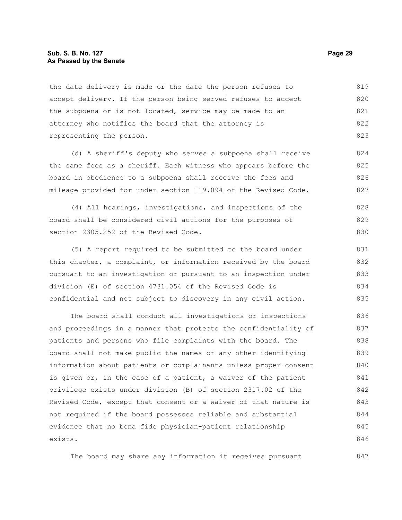#### **Sub. S. B. No. 127 Page 29 As Passed by the Senate**

the date delivery is made or the date the person refuses to accept delivery. If the person being served refuses to accept the subpoena or is not located, service may be made to an attorney who notifies the board that the attorney is representing the person. 819 820 821 822 823

(d) A sheriff's deputy who serves a subpoena shall receive the same fees as a sheriff. Each witness who appears before the board in obedience to a subpoena shall receive the fees and mileage provided for under section 119.094 of the Revised Code. 824 825 826 827

(4) All hearings, investigations, and inspections of the board shall be considered civil actions for the purposes of section 2305.252 of the Revised Code. 828 829 830

(5) A report required to be submitted to the board under this chapter, a complaint, or information received by the board pursuant to an investigation or pursuant to an inspection under division (E) of section 4731.054 of the Revised Code is confidential and not subject to discovery in any civil action. 831 832 833 834 835

The board shall conduct all investigations or inspections and proceedings in a manner that protects the confidentiality of patients and persons who file complaints with the board. The board shall not make public the names or any other identifying information about patients or complainants unless proper consent is given or, in the case of a patient, a waiver of the patient privilege exists under division (B) of section 2317.02 of the Revised Code, except that consent or a waiver of that nature is not required if the board possesses reliable and substantial evidence that no bona fide physician-patient relationship exists. 836 837 838 839 840 841 842 843 844 845 846

The board may share any information it receives pursuant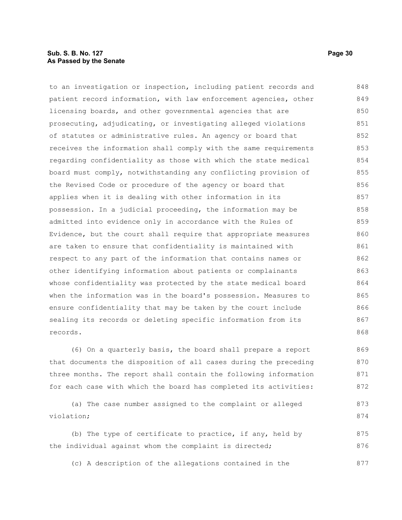#### **Sub. S. B. No. 127 Page 30 As Passed by the Senate**

to an investigation or inspection, including patient records and patient record information, with law enforcement agencies, other licensing boards, and other governmental agencies that are prosecuting, adjudicating, or investigating alleged violations of statutes or administrative rules. An agency or board that receives the information shall comply with the same requirements regarding confidentiality as those with which the state medical board must comply, notwithstanding any conflicting provision of the Revised Code or procedure of the agency or board that applies when it is dealing with other information in its possession. In a judicial proceeding, the information may be admitted into evidence only in accordance with the Rules of Evidence, but the court shall require that appropriate measures are taken to ensure that confidentiality is maintained with respect to any part of the information that contains names or other identifying information about patients or complainants whose confidentiality was protected by the state medical board when the information was in the board's possession. Measures to ensure confidentiality that may be taken by the court include sealing its records or deleting specific information from its records. 848 849 850 851 852 853 854 855 856 857 858 859 860 861 862 863 864 865 866 867 868

(6) On a quarterly basis, the board shall prepare a report that documents the disposition of all cases during the preceding three months. The report shall contain the following information for each case with which the board has completed its activities: 869 870 871 872

(a) The case number assigned to the complaint or alleged violation; 873 874

(b) The type of certificate to practice, if any, held by the individual against whom the complaint is directed; 875 876

(c) A description of the allegations contained in the 877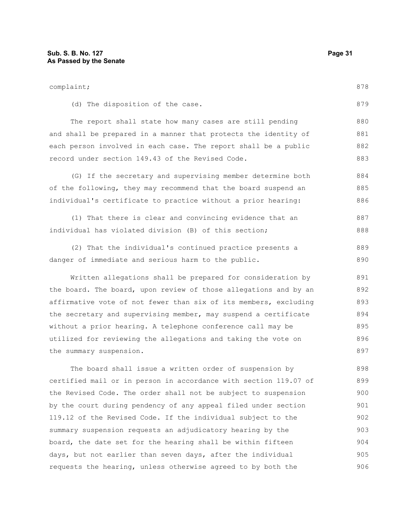complaint; (d) The disposition of the case. The report shall state how many cases are still pending and shall be prepared in a manner that protects the identity of each person involved in each case. The report shall be a public record under section 149.43 of the Revised Code. (G) If the secretary and supervising member determine both of the following, they may recommend that the board suspend an individual's certificate to practice without a prior hearing: (1) That there is clear and convincing evidence that an individual has violated division (B) of this section; (2) That the individual's continued practice presents a danger of immediate and serious harm to the public. Written allegations shall be prepared for consideration by the board. The board, upon review of those allegations and by an affirmative vote of not fewer than six of its members, excluding the secretary and supervising member, may suspend a certificate without a prior hearing. A telephone conference call may be utilized for reviewing the allegations and taking the vote on the summary suspension. The board shall issue a written order of suspension by certified mail or in person in accordance with section 119.07 of 878 879 880 881 882 883 884 885 886 887 888 889 890 891 892 893 894 895 896 897 898 899

the Revised Code. The order shall not be subject to suspension by the court during pendency of any appeal filed under section 119.12 of the Revised Code. If the individual subject to the summary suspension requests an adjudicatory hearing by the board, the date set for the hearing shall be within fifteen days, but not earlier than seven days, after the individual requests the hearing, unless otherwise agreed to by both the 900 901 902 903 904 905 906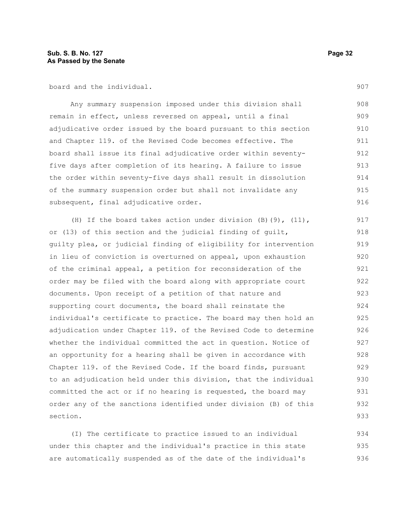board and the individual.

Any summary suspension imposed under this division shall remain in effect, unless reversed on appeal, until a final adjudicative order issued by the board pursuant to this section and Chapter 119. of the Revised Code becomes effective. The board shall issue its final adjudicative order within seventyfive days after completion of its hearing. A failure to issue the order within seventy-five days shall result in dissolution of the summary suspension order but shall not invalidate any subsequent, final adjudicative order. 908 909 910 911 912 913 914 915 916

(H) If the board takes action under division (B)(9), (11), or (13) of this section and the judicial finding of guilt, guilty plea, or judicial finding of eligibility for intervention in lieu of conviction is overturned on appeal, upon exhaustion of the criminal appeal, a petition for reconsideration of the order may be filed with the board along with appropriate court documents. Upon receipt of a petition of that nature and supporting court documents, the board shall reinstate the individual's certificate to practice. The board may then hold an adjudication under Chapter 119. of the Revised Code to determine whether the individual committed the act in question. Notice of an opportunity for a hearing shall be given in accordance with Chapter 119. of the Revised Code. If the board finds, pursuant to an adjudication held under this division, that the individual committed the act or if no hearing is requested, the board may order any of the sanctions identified under division (B) of this section. 917 918 919 920 921 922 923 924 925 926 927 928 929 930 931 932 933

(I) The certificate to practice issued to an individual under this chapter and the individual's practice in this state are automatically suspended as of the date of the individual's 934 935 936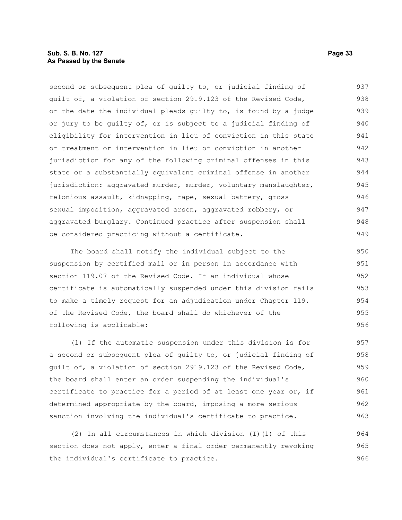### **Sub. S. B. No. 127 Page 33 As Passed by the Senate**

second or subsequent plea of guilty to, or judicial finding of guilt of, a violation of section 2919.123 of the Revised Code, or the date the individual pleads guilty to, is found by a judge or jury to be guilty of, or is subject to a judicial finding of eligibility for intervention in lieu of conviction in this state or treatment or intervention in lieu of conviction in another jurisdiction for any of the following criminal offenses in this state or a substantially equivalent criminal offense in another jurisdiction: aggravated murder, murder, voluntary manslaughter, felonious assault, kidnapping, rape, sexual battery, gross sexual imposition, aggravated arson, aggravated robbery, or aggravated burglary. Continued practice after suspension shall be considered practicing without a certificate. 937 938 939 940 941 942 943 944 945 946 947 948 949

The board shall notify the individual subject to the suspension by certified mail or in person in accordance with section 119.07 of the Revised Code. If an individual whose certificate is automatically suspended under this division fails to make a timely request for an adjudication under Chapter 119. of the Revised Code, the board shall do whichever of the following is applicable: 950 951 952 953 954 955 956

(1) If the automatic suspension under this division is for a second or subsequent plea of guilty to, or judicial finding of guilt of, a violation of section 2919.123 of the Revised Code, the board shall enter an order suspending the individual's certificate to practice for a period of at least one year or, if determined appropriate by the board, imposing a more serious sanction involving the individual's certificate to practice. 957 958 959 960 961 962 963

(2) In all circumstances in which division (I)(1) of this section does not apply, enter a final order permanently revoking the individual's certificate to practice. 964 965 966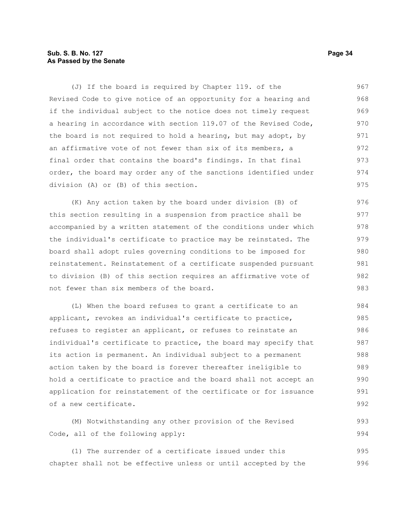### **Sub. S. B. No. 127 Page 34 As Passed by the Senate**

(J) If the board is required by Chapter 119. of the Revised Code to give notice of an opportunity for a hearing and if the individual subject to the notice does not timely request a hearing in accordance with section 119.07 of the Revised Code, the board is not required to hold a hearing, but may adopt, by an affirmative vote of not fewer than six of its members, a final order that contains the board's findings. In that final order, the board may order any of the sanctions identified under division (A) or (B) of this section. 967 968 969 970 971 972 973 974 975

(K) Any action taken by the board under division (B) of this section resulting in a suspension from practice shall be accompanied by a written statement of the conditions under which the individual's certificate to practice may be reinstated. The board shall adopt rules governing conditions to be imposed for reinstatement. Reinstatement of a certificate suspended pursuant to division (B) of this section requires an affirmative vote of not fewer than six members of the board. 976 977 978 979 980 981 982 983

(L) When the board refuses to grant a certificate to an applicant, revokes an individual's certificate to practice, refuses to register an applicant, or refuses to reinstate an individual's certificate to practice, the board may specify that its action is permanent. An individual subject to a permanent action taken by the board is forever thereafter ineligible to hold a certificate to practice and the board shall not accept an application for reinstatement of the certificate or for issuance of a new certificate. 984 985 986 987 988 989 990 991 992

(M) Notwithstanding any other provision of the Revised Code, all of the following apply: 993 994

(1) The surrender of a certificate issued under this chapter shall not be effective unless or until accepted by the 995 996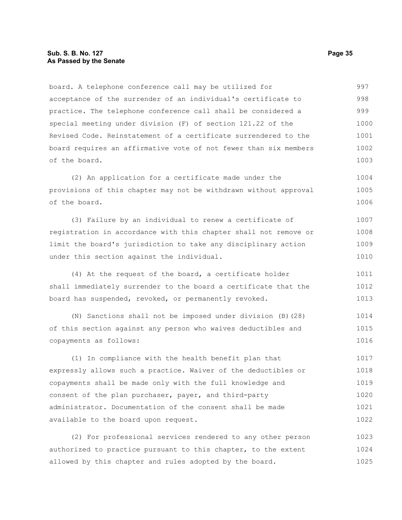board. A telephone conference call may be utilized for acceptance of the surrender of an individual's certificate to practice. The telephone conference call shall be considered a special meeting under division (F) of section 121.22 of the Revised Code. Reinstatement of a certificate surrendered to the board requires an affirmative vote of not fewer than six members of the board. 997 998 999 1000 1001 1002 1003

(2) An application for a certificate made under the provisions of this chapter may not be withdrawn without approval of the board. 1004 1005 1006

(3) Failure by an individual to renew a certificate of registration in accordance with this chapter shall not remove or limit the board's jurisdiction to take any disciplinary action under this section against the individual. 1007 1008 1009 1010

(4) At the request of the board, a certificate holder shall immediately surrender to the board a certificate that the board has suspended, revoked, or permanently revoked. 1011 1012 1013

(N) Sanctions shall not be imposed under division (B)(28) of this section against any person who waives deductibles and copayments as follows: 1014 1015 1016

(1) In compliance with the health benefit plan that expressly allows such a practice. Waiver of the deductibles or copayments shall be made only with the full knowledge and consent of the plan purchaser, payer, and third-party administrator. Documentation of the consent shall be made available to the board upon request. 1017 1018 1019 1020 1021 1022

(2) For professional services rendered to any other person authorized to practice pursuant to this chapter, to the extent allowed by this chapter and rules adopted by the board. 1023 1024 1025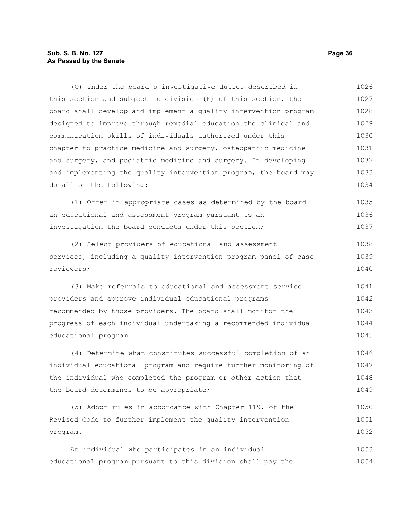### **Sub. S. B. No. 127 Page 36 As Passed by the Senate**

(O) Under the board's investigative duties described in this section and subject to division (F) of this section, the board shall develop and implement a quality intervention program designed to improve through remedial education the clinical and communication skills of individuals authorized under this chapter to practice medicine and surgery, osteopathic medicine and surgery, and podiatric medicine and surgery. In developing and implementing the quality intervention program, the board may do all of the following: 1026 1027 1028 1029 1030 1031 1032 1033 1034

(1) Offer in appropriate cases as determined by the board an educational and assessment program pursuant to an investigation the board conducts under this section; 1035 1036 1037

(2) Select providers of educational and assessment services, including a quality intervention program panel of case reviewers; 1038 1039 1040

(3) Make referrals to educational and assessment service providers and approve individual educational programs recommended by those providers. The board shall monitor the progress of each individual undertaking a recommended individual educational program. 1041 1042 1043 1044 1045

(4) Determine what constitutes successful completion of an individual educational program and require further monitoring of the individual who completed the program or other action that the board determines to be appropriate; 1046 1047 1048 1049

(5) Adopt rules in accordance with Chapter 119. of the Revised Code to further implement the quality intervention program. 1050 1051 1052

An individual who participates in an individual educational program pursuant to this division shall pay the 1053 1054